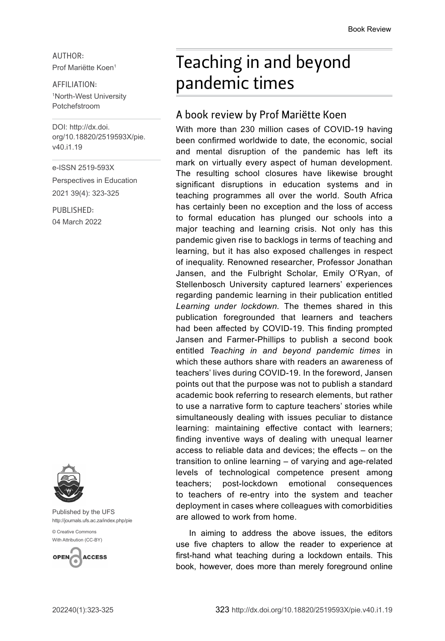AUTHOR: Prof Mariëtte Koen<sup>1</sup>

## AFFILIATION: 1 North-West University Potchefstroom

DOI: [http://dx.doi.](http://dx.doi.org/10.18820/2519593X/pie.v40.i1.19) [org/10.18820/2519593X/p](http://dx.doi.org/10.18820/2519593X/pie.v40.i1.19)ie. v40.i1.19

e-ISSN 2519-593X

Perspectives in Education 2021 39(4): 323-325

PUBLISHED: 04 March 2022



Published by the UFS [http://journals.ufs.ac.za/index.php/pie](http://www.statssa.gov.za/?p=11341)

[© Creative Commons](http://documents.worldbank.org/curated/en/530481521735906534/Overcoming-Poverty-and-Inequality-in-South-Africa-An-Assessment-of-Drivers-Constraints-and-Opportunities)  [With Attribution \(CC-BY\)](http://documents.worldbank.org/curated/en/530481521735906534/Overcoming-Poverty-and-Inequality-in-South-Africa-An-Assessment-of-Drivers-Constraints-and-Opportunities)



## Teaching in and beyond pandemic times

## A book review by Prof Mariëtte Koen

With more than 230 million cases of COVID-19 having been confirmed worldwide to date, the economic, social and mental disruption of the pandemic has left its mark on virtually every aspect of human development. The resulting school closures have likewise brought significant disruptions in education systems and in teaching programmes all over the world. South Africa has certainly been no exception and the loss of access to formal education has plunged our schools into a major teaching and learning crisis. Not only has this pandemic given rise to backlogs in terms of teaching and learning, but it has also exposed challenges in respect of inequality. Renowned researcher, Professor Jonathan Jansen, and the Fulbright Scholar, Emily O'Ryan, of Stellenbosch University captured learners' experiences regarding pandemic learning in their publication entitled *Learning under lockdown.* The themes shared in this publication foregrounded that learners and teachers had been affected by COVID-19. This finding prompted Jansen and Farmer-Phillips to publish a second book entitled *Teaching in and beyond pandemic times* in which these authors share with readers an awareness of teachers' lives during COVID-19. In the foreword, Jansen points out that the purpose was not to publish a standard academic book referring to research elements, but rather to use a narrative form to capture teachers' stories while simultaneously dealing with issues peculiar to distance learning: maintaining effective contact with learners; finding inventive ways of dealing with unequal learner access to reliable data and devices; the effects - on the transition to online learning – of varying and age-related levels of technological competence present among teachers; post-lockdown emotional consequences to teachers of re-entry into the system and teacher deployment in cases where colleagues with comorbidities are allowed to work from home.

In aiming to address the above issues, the editors use five chapters to allow the reader to experience at first-hand what teaching during a lockdown entails. This book, however, does more than merely foreground online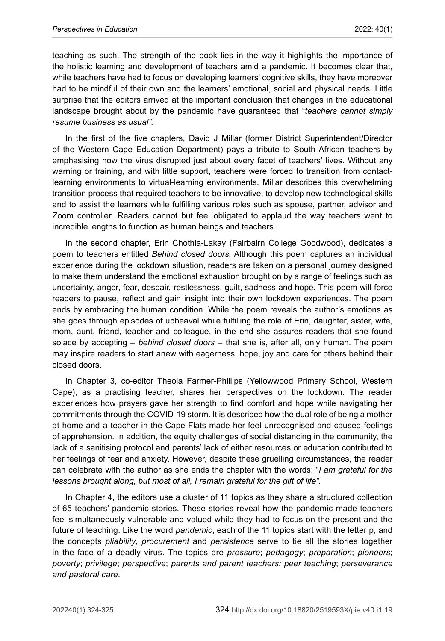## *Perspectives in Education* 2022: 40(1)

teaching as such. The strength of the book lies in the way it highlights the importance of the holistic learning and development of teachers amid a pandemic. It becomes clear that, while teachers have had to focus on developing learners' cognitive skills, they have moreover had to be mindful of their own and the learners' emotional, social and physical needs. Little surprise that the editors arrived at the important conclusion that changes in the educational landscape brought about by the pandemic have guaranteed that "*teachers cannot simply resume business as usual".* 

In the first of the five chapters, David J Millar (former District Superintendent/Director of the Western Cape Education Department) pays a tribute to South African teachers by emphasising how the virus disrupted just about every facet of teachers' lives. Without any warning or training, and with little support, teachers were forced to transition from contactlearning environments to virtual-learning environments. Millar describes this overwhelming transition process that required teachers to be innovative, to develop new technological skills and to assist the learners while fulfilling various roles such as spouse, partner, advisor and Zoom controller*.* Readers cannot but feel obligated to applaud the way teachers went to incredible lengths to function as human beings and teachers.

In the second chapter, Erin Chothia-Lakay (Fairbairn College Goodwood), dedicates a poem to teachers entitled *Behind closed doors.* Although this poem captures an individual experience during the lockdown situation, readers are taken on a personal journey designed to make them understand the emotional exhaustion brought on by a range of feelings such as uncertainty, anger, fear, despair, restlessness, guilt, sadness and hope. This poem will force readers to pause, reflect and gain insight into their own lockdown experiences. The poem ends by embracing the human condition. While the poem reveals the author's emotions as she goes through episodes of upheaval while fulfilling the role of Erin, daughter, sister, wife, mom, aunt, friend, teacher and colleague, in the end she assures readers that she found solace by accepting – *behind closed doors* – that she is, after all, only human. The poem may inspire readers to start anew with eagerness, hope, joy and care for others behind their closed doors.

In Chapter 3, co-editor Theola Farmer-Phillips (Yellowwood Primary School, Western Cape), as a practising teacher, shares her perspectives on the lockdown. The reader experiences how prayers gave her strength to find comfort and hope while navigating her commitments through the COVID-19 storm. It is described how the dual role of being a mother at home and a teacher in the Cape Flats made her feel unrecognised and caused feelings of apprehension. In addition, the equity challenges of social distancing in the community, the lack of a sanitising protocol and parents' lack of either resources or education contributed to her feelings of fear and anxiety. However, despite these gruelling circumstances, the reader can celebrate with the author as she ends the chapter with the words: "*I am grateful for the lessons brought along, but most of all, I remain grateful for the gift of life".*

In Chapter 4, the editors use a cluster of 11 topics as they share a structured collection of 65 teachers' pandemic stories. These stories reveal how the pandemic made teachers feel simultaneously vulnerable and valued while they had to focus on the present and the future of teaching. Like the word *pandemic*, each of the 11 topics start with the letter p, and the concepts *pliability*, *procurement* and *persistence* serve to tie all the stories together in the face of a deadly virus. The topics are *pressure*; *pedagogy*; *preparation*; *pioneers*; *poverty*; *privilege*; *perspective*; *parents and parent teachers; peer teaching*; *perseverance and pastoral care*.